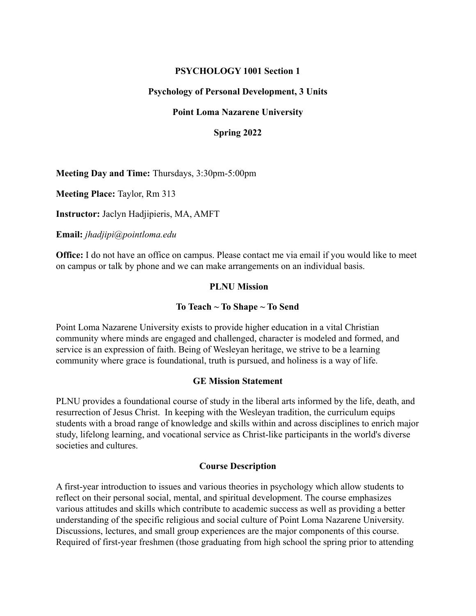### **PSYCHOLOGY 1001 Section 1**

### **Psychology of Personal Development, 3 Units**

### **Point Loma Nazarene University**

### **Spring 2022**

**Meeting Day and Time:** Thursdays, 3:30pm-5:00pm

**Meeting Place:** Taylor, Rm 313

**Instructor:** Jaclyn Hadjipieris, MA, AMFT

**Email:** *jhadjipi@pointloma.edu*

**Office:** I do not have an office on campus. Please contact me via email if you would like to meet on campus or talk by phone and we can make arrangements on an individual basis.

### **PLNU Mission**

#### **To Teach ~ To Shape ~ To Send**

Point Loma Nazarene University exists to provide higher education in a vital Christian community where minds are engaged and challenged, character is modeled and formed, and service is an expression of faith. Being of Wesleyan heritage, we strive to be a learning community where grace is foundational, truth is pursued, and holiness is a way of life.

#### **GE Mission Statement**

PLNU provides a foundational course of study in the liberal arts informed by the life, death, and resurrection of Jesus Christ. In keeping with the Wesleyan tradition, the curriculum equips students with a broad range of knowledge and skills within and across disciplines to enrich major study, lifelong learning, and vocational service as Christ-like participants in the world's diverse societies and cultures.

#### **Course Description**

A first-year introduction to issues and various theories in psychology which allow students to reflect on their personal social, mental, and spiritual development. The course emphasizes various attitudes and skills which contribute to academic success as well as providing a better understanding of the specific religious and social culture of Point Loma Nazarene University. Discussions, lectures, and small group experiences are the major components of this course. Required of first-year freshmen (those graduating from high school the spring prior to attending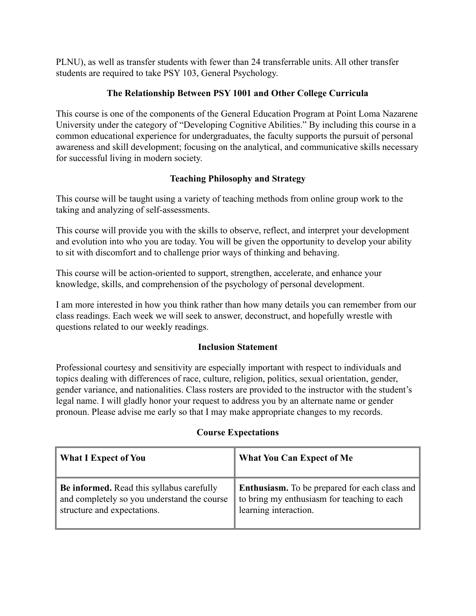PLNU), as well as transfer students with fewer than 24 transferrable units. All other transfer students are required to take PSY 103, General Psychology.

## **The Relationship Between PSY 1001 and Other College Curricula**

This course is one of the components of the General Education Program at Point Loma Nazarene University under the category of "Developing Cognitive Abilities." By including this course in a common educational experience for undergraduates, the faculty supports the pursuit of personal awareness and skill development; focusing on the analytical, and communicative skills necessary for successful living in modern society.

## **Teaching Philosophy and Strategy**

This course will be taught using a variety of teaching methods from online group work to the taking and analyzing of self-assessments.

This course will provide you with the skills to observe, reflect, and interpret your development and evolution into who you are today. You will be given the opportunity to develop your ability to sit with discomfort and to challenge prior ways of thinking and behaving.

This course will be action-oriented to support, strengthen, accelerate, and enhance your knowledge, skills, and comprehension of the psychology of personal development.

I am more interested in how you think rather than how many details you can remember from our class readings. Each week we will seek to answer, deconstruct, and hopefully wrestle with questions related to our weekly readings.

## **Inclusion Statement**

Professional courtesy and sensitivity are especially important with respect to individuals and topics dealing with differences of race, culture, religion, politics, sexual orientation, gender, gender variance, and nationalities. Class rosters are provided to the instructor with the student's legal name. I will gladly honor your request to address you by an alternate name or gender pronoun. Please advise me early so that I may make appropriate changes to my records.

## **Course Expectations**

| <b>What I Expect of You</b>                      | <b>What You Can Expect of Me</b>                     |
|--------------------------------------------------|------------------------------------------------------|
| <b>Be informed.</b> Read this syllabus carefully | <b>Enthusiasm.</b> To be prepared for each class and |
| and completely so you understand the course      | to bring my enthusiasm for teaching to each          |
| structure and expectations.                      | learning interaction.                                |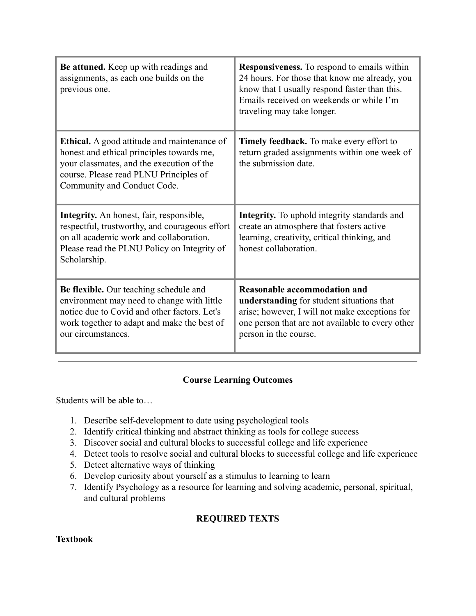| Be attuned. Keep up with readings and<br>assignments, as each one builds on the<br>previous one.                                                                                                                      | <b>Responsiveness.</b> To respond to emails within<br>24 hours. For those that know me already, you<br>know that I usually respond faster than this.<br>Emails received on weekends or while I'm<br>traveling may take longer. |
|-----------------------------------------------------------------------------------------------------------------------------------------------------------------------------------------------------------------------|--------------------------------------------------------------------------------------------------------------------------------------------------------------------------------------------------------------------------------|
| <b>Ethical.</b> A good attitude and maintenance of<br>honest and ethical principles towards me,<br>your classmates, and the execution of the<br>course. Please read PLNU Principles of<br>Community and Conduct Code. | <b>Timely feedback.</b> To make every effort to<br>return graded assignments within one week of<br>the submission date.                                                                                                        |
| Integrity. An honest, fair, responsible,<br>respectful, trustworthy, and courageous effort<br>on all academic work and collaboration.<br>Please read the PLNU Policy on Integrity of<br>Scholarship.                  | <b>Integrity.</b> To uphold integrity standards and<br>create an atmosphere that fosters active<br>learning, creativity, critical thinking, and<br>honest collaboration.                                                       |
| Be flexible. Our teaching schedule and<br>environment may need to change with little<br>notice due to Covid and other factors. Let's<br>work together to adapt and make the best of<br>our circumstances.             | <b>Reasonable accommodation and</b><br>understanding for student situations that<br>arise; however, I will not make exceptions for<br>one person that are not available to every other<br>person in the course.                |

## **Course Learning Outcomes**

Students will be able to…

- 1. Describe self-development to date using psychological tools
- 2. Identify critical thinking and abstract thinking as tools for college success
- 3. Discover social and cultural blocks to successful college and life experience
- 4. Detect tools to resolve social and cultural blocks to successful college and life experience
- 5. Detect alternative ways of thinking
- 6. Develop curiosity about yourself as a stimulus to learning to learn
- 7. Identify Psychology as a resource for learning and solving academic, personal, spiritual, and cultural problems

# **REQUIRED TEXTS**

## **Textbook**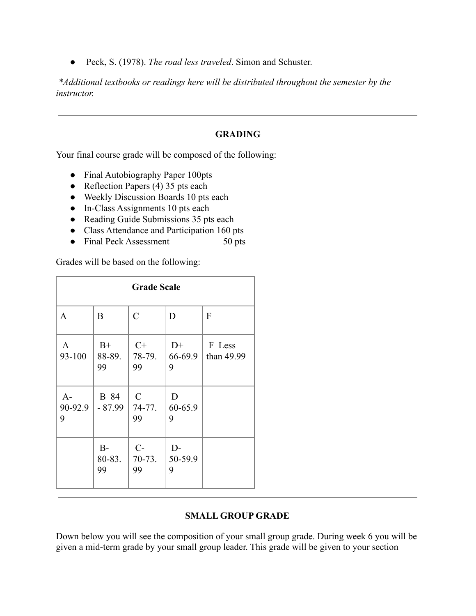● Peck, S. (1978). *The road less traveled*. Simon and Schuster.

*\*Additional textbooks or readings here will be distributed throughout the semester by the instructor.*

### **GRADING**

Your final course grade will be composed of the following:

- Final Autobiography Paper 100pts
- Reflection Papers  $(4)$  35 pts each
- Weekly Discussion Boards 10 pts each
- In-Class Assignments 10 pts each
- Reading Guide Submissions 35 pts each
- Class Attendance and Participation 160 pts
- Final Peck Assessment 50 pts

Grades will be based on the following:

| <b>Grade Scale</b>     |                         |                               |                      |                      |  |
|------------------------|-------------------------|-------------------------------|----------------------|----------------------|--|
| $\mathbf{A}$           | B                       | $\overline{C}$                | D                    | F                    |  |
| $\mathbf{A}$<br>93-100 | $B+$<br>88-89.<br>99    | $C+$<br>78-79.<br>99          | $D+$<br>66-69.9<br>9 | F Less<br>than 49.99 |  |
| $A-$<br>90-92.9<br>9   | <b>B</b> 84<br>$-87.99$ | $\mathcal{C}$<br>74-77.<br>99 | D<br>60-65.9<br>9    |                      |  |
|                        | $B -$<br>80-83.<br>99   | $C$ -<br>$70-73.$<br>99       | $D-$<br>50-59.9<br>9 |                      |  |

### **SMALL GROUP GRADE**

Down below you will see the composition of your small group grade. During week 6 you will be given a mid-term grade by your small group leader. This grade will be given to your section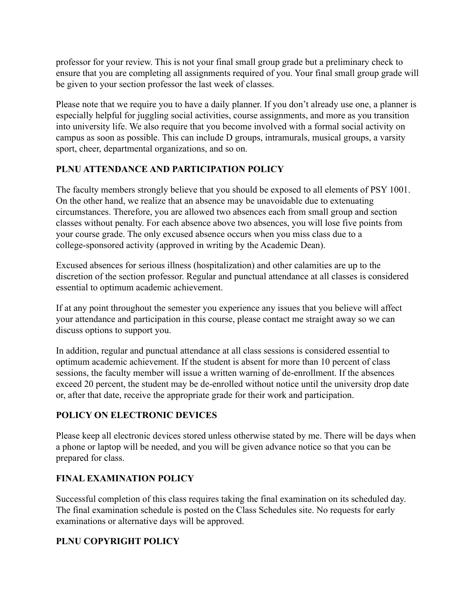professor for your review. This is not your final small group grade but a preliminary check to ensure that you are completing all assignments required of you. Your final small group grade will be given to your section professor the last week of classes.

Please note that we require you to have a daily planner. If you don't already use one, a planner is especially helpful for juggling social activities, course assignments, and more as you transition into university life. We also require that you become involved with a formal social activity on campus as soon as possible. This can include D groups, intramurals, musical groups, a varsity sport, cheer, departmental organizations, and so on.

# **PLNU ATTENDANCE AND PARTICIPATION POLICY**

The faculty members strongly believe that you should be exposed to all elements of PSY 1001. On the other hand, we realize that an absence may be unavoidable due to extenuating circumstances. Therefore, you are allowed two absences each from small group and section classes without penalty. For each absence above two absences, you will lose five points from your course grade. The only excused absence occurs when you miss class due to a college-sponsored activity (approved in writing by the Academic Dean).

Excused absences for serious illness (hospitalization) and other calamities are up to the discretion of the section professor. Regular and punctual attendance at all classes is considered essential to optimum academic achievement.

If at any point throughout the semester you experience any issues that you believe will affect your attendance and participation in this course, please contact me straight away so we can discuss options to support you.

In addition, regular and punctual attendance at all class sessions is considered essential to optimum academic achievement. If the student is absent for more than 10 percent of class sessions, the faculty member will issue a written warning of de-enrollment. If the absences exceed 20 percent, the student may be de-enrolled without notice until the university drop date or, after that date, receive the appropriate grade for their work and participation.

## **POLICY ON ELECTRONIC DEVICES**

Please keep all electronic devices stored unless otherwise stated by me. There will be days when a phone or laptop will be needed, and you will be given advance notice so that you can be prepared for class.

# **FINAL EXAMINATION POLICY**

Successful completion of this class requires taking the final examination on its scheduled day. The final examination schedule is posted on the Class Schedules site. No requests for early examinations or alternative days will be approved.

# **PLNU COPYRIGHT POLICY**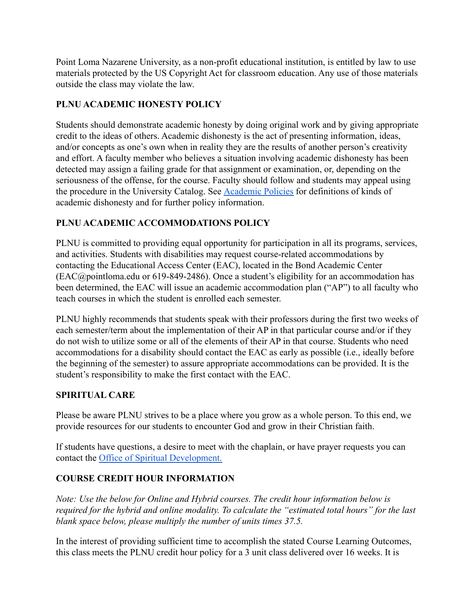Point Loma Nazarene University, as a non-profit educational institution, is entitled by law to use materials protected by the US Copyright Act for classroom education. Any use of those materials outside the class may violate the law.

# **PLNU ACADEMIC HONESTY POLICY**

Students should demonstrate academic honesty by doing original work and by giving appropriate credit to the ideas of others. Academic dishonesty is the act of presenting information, ideas, and/or concepts as one's own when in reality they are the results of another person's creativity and effort. A faculty member who believes a situation involving academic dishonesty has been detected may assign a failing grade for that assignment or examination, or, depending on the seriousness of the offense, for the course. Faculty should follow and students may appeal using the procedure in the University Catalog. See [Academic](http://catalog.pointloma.edu/content.php?catoid=18&navoid=1278) Policies for definitions of kinds of academic dishonesty and for further policy information.

# **PLNU ACADEMIC ACCOMMODATIONS POLICY**

PLNU is committed to providing equal opportunity for participation in all its programs, services, and activities. Students with disabilities may request course-related accommodations by contacting the Educational Access Center (EAC), located in the Bond Academic Center (EAC@pointloma.edu or 619-849-2486). Once a student's eligibility for an accommodation has been determined, the EAC will issue an academic accommodation plan ("AP") to all faculty who teach courses in which the student is enrolled each semester.

PLNU highly recommends that students speak with their professors during the first two weeks of each semester/term about the implementation of their AP in that particular course and/or if they do not wish to utilize some or all of the elements of their AP in that course. Students who need accommodations for a disability should contact the EAC as early as possible (i.e., ideally before the beginning of the semester) to assure appropriate accommodations can be provided. It is the student's responsibility to make the first contact with the EAC.

## **SPIRITUAL CARE**

Please be aware PLNU strives to be a place where you grow as a whole person. To this end, we provide resources for our students to encounter God and grow in their Christian faith.

If students have questions, a desire to meet with the chaplain, or have prayer requests you can contact the [Office of Spiritual Development.](https://www.pointloma.edu/undergraduate/life-loma/spiritual-growth)

## **COURSE CREDIT HOUR INFORMATION**

*Note: Use the below for Online and Hybrid courses. The credit hour information below is required for the hybrid and online modality. To calculate the "estimated total hours" for the last blank space below, please multiply the number of units times 37.5.*

In the interest of providing sufficient time to accomplish the stated Course Learning Outcomes, this class meets the PLNU credit hour policy for a 3 unit class delivered over 16 weeks. It is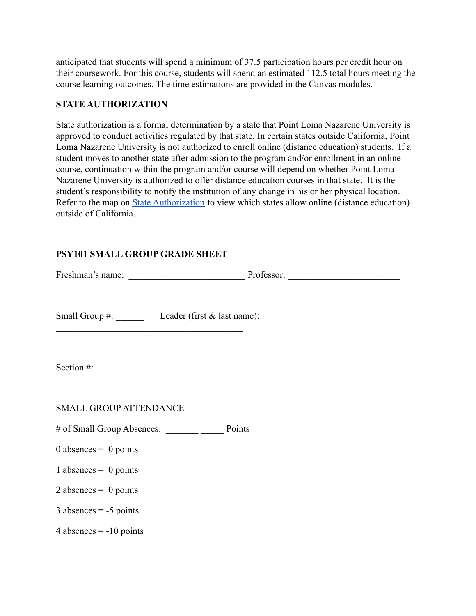anticipated that students will spend a minimum of 37.5 participation hours per credit hour on their coursework. For this course, students will spend an estimated 112.5 total hours meeting the course learning outcomes. The time estimations are provided in the Canvas modules.

### **STATE AUTHORIZATION**

State authorization is a formal determination by a state that Point Loma Nazarene University is approved to conduct activities regulated by that state. In certain states outside California, Point Loma Nazarene University is not authorized to enroll online (distance education) students. If a student moves to another state after admission to the program and/or enrollment in an online course, continuation within the program and/or course will depend on whether Point Loma Nazarene University is authorized to offer distance education courses in that state. It is the student's responsibility to notify the institution of any change in his or her physical location. Refer to the map on [State Authorization](https://www.pointloma.edu/offices/office-institutional-effectiveness-research/disclosures) to view which states allow online (distance education) outside of California.

### **PSY101 SMALL GROUP GRADE SHEET**

| <u> 1989 - Johann Stoff, Amerikaansk politiker (d. 1989)</u> | Small Group #: Leader (first & last name): |  |
|--------------------------------------------------------------|--------------------------------------------|--|
|                                                              |                                            |  |
| Section #: $\_\_$                                            |                                            |  |
|                                                              |                                            |  |
| <b>SMALL GROUP ATTENDANCE</b>                                |                                            |  |
|                                                              |                                            |  |
| $0$ absences = 0 points                                      |                                            |  |
| 1 absences = $0$ points                                      |                                            |  |
| 2 absences = $0$ points                                      |                                            |  |
| $3$ absences = -5 points                                     |                                            |  |
| 4 absences $= -10$ points                                    |                                            |  |
|                                                              |                                            |  |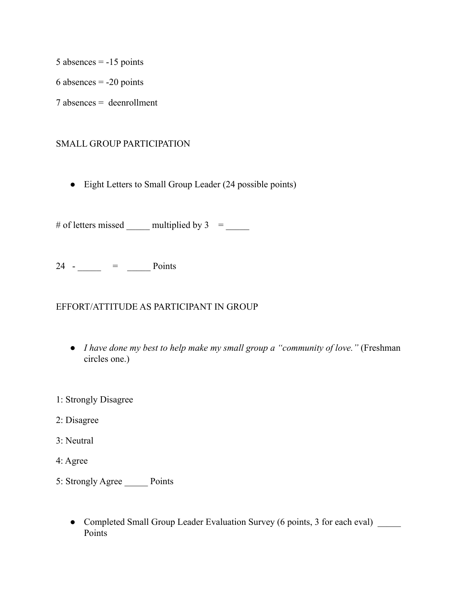5 absences  $= -15$  points

6 absences  $= -20$  points

7 absences = deenrollment

### SMALL GROUP PARTICIPATION

• Eight Letters to Small Group Leader (24 possible points)

# of letters missed  $\frac{1}{\sqrt{1-\frac{1}{n}}}$  multiplied by 3 =  $\frac{1}{\sqrt{1-\frac{1}{n}}}$ 

 $24$  -  $\_\_$  =  $\_\_$  Points

### EFFORT/ATTITUDE AS PARTICIPANT IN GROUP

- *I have done my best to help make my small group a "community of love."* (Freshman circles one.)
- 1: Strongly Disagree
- 2: Disagree
- 3: Neutral
- 4: Agree
- 5: Strongly Agree \_\_\_\_\_ Points
	- Completed Small Group Leader Evaluation Survey (6 points, 3 for each eval) Points